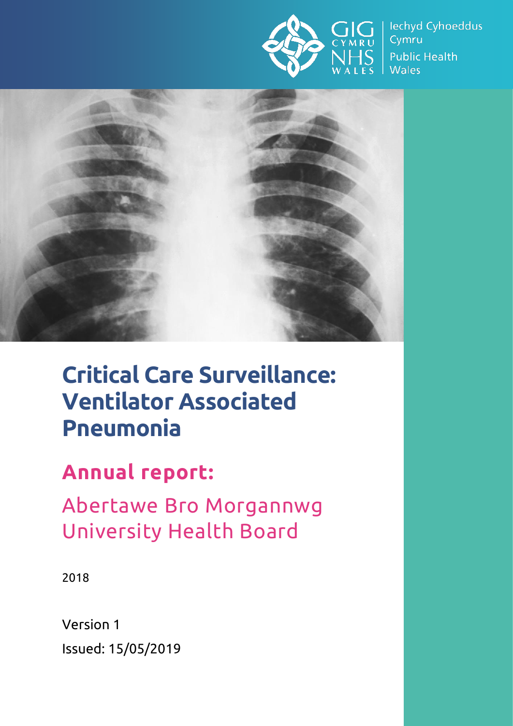

lechyd Cyhoeddus Cymru **Public Health Wales** 



# **Critical Care Surveillance: Ventilator Associated Pneumonia**

# **Annual report:**

Abertawe Bro Morgannwg University Health Board

2018

Version 1 Issued: 15/05/2019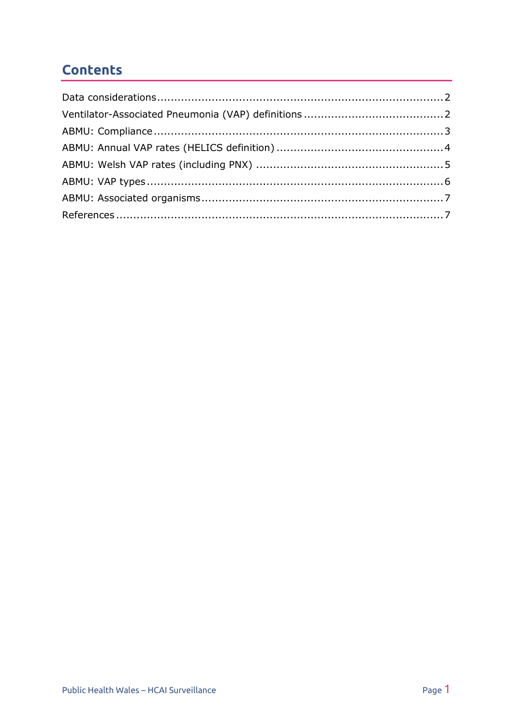# **Contents**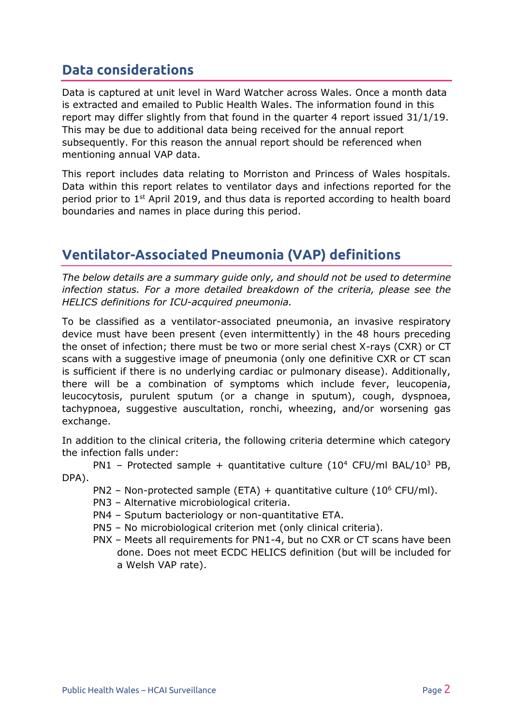#### <span id="page-2-0"></span>**Data considerations**

Data is captured at unit level in Ward Watcher across Wales. Once a month data is extracted and emailed to Public Health Wales. The information found in this report may differ slightly from that found in the quarter 4 report issued 31/1/19. This may be due to additional data being received for the annual report subsequently. For this reason the annual report should be referenced when mentioning annual VAP data.

This report includes data relating to Morriston and Princess of Wales hospitals. Data within this report relates to ventilator days and infections reported for the period prior to 1<sup>st</sup> April 2019, and thus data is reported according to health board boundaries and names in place during this period.

# <span id="page-2-1"></span>**Ventilator-Associated Pneumonia (VAP) definitions**

*The below details are a summary guide only, and should not be used to determine infection status. For a more detailed breakdown of the criteria, please see the HELICS definitions for ICU-acquired pneumonia.*

To be classified as a ventilator-associated pneumonia, an invasive respiratory device must have been present (even intermittently) in the 48 hours preceding the onset of infection; there must be two or more serial chest X-rays (CXR) or CT scans with a suggestive image of pneumonia (only one definitive CXR or CT scan is sufficient if there is no underlying cardiac or pulmonary disease). Additionally, there will be a combination of symptoms which include fever, leucopenia, leucocytosis, purulent sputum (or a change in sputum), cough, dyspnoea, tachypnoea, suggestive auscultation, ronchi, wheezing, and/or worsening gas exchange.

In addition to the clinical criteria, the following criteria determine which category the infection falls under:

PN1 – Protected sample + quantitative culture  $(10^4 \text{ CFU/ml BAL}/10^3 \text{ PB},$ DPA).

- PN2 Non-protected sample (ETA) + quantitative culture ( $10^6$  CFU/ml).
- PN3 Alternative microbiological criteria.
- PN4 Sputum bacteriology or non-quantitative ETA.
- PN5 No microbiological criterion met (only clinical criteria).
- PNX Meets all requirements for PN1-4, but no CXR or CT scans have been done. Does not meet ECDC HELICS definition (but will be included for a Welsh VAP rate).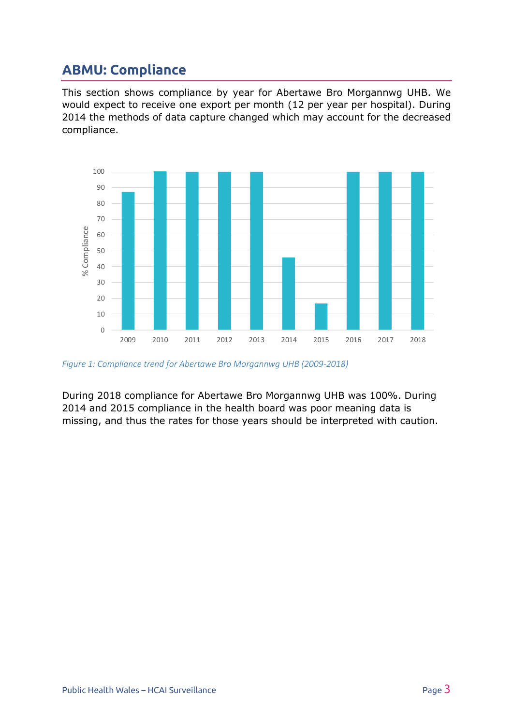### <span id="page-3-0"></span>**ABMU: Compliance**

This section shows compliance by year for Abertawe Bro Morgannwg UHB. We would expect to receive one export per month (12 per year per hospital). During 2014 the methods of data capture changed which may account for the decreased compliance.



*Figure 1: Compliance trend for Abertawe Bro Morgannwg UHB (2009-2018)*

During 2018 compliance for Abertawe Bro Morgannwg UHB was 100%. During 2014 and 2015 compliance in the health board was poor meaning data is missing, and thus the rates for those years should be interpreted with caution.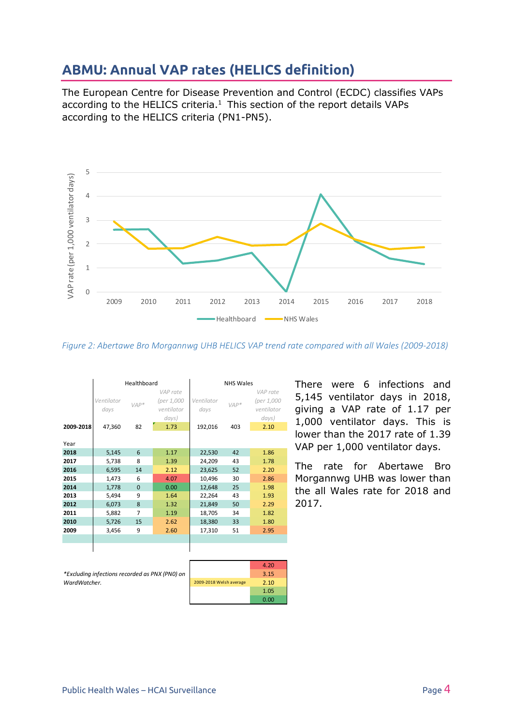#### <span id="page-4-0"></span>**ABMU: Annual VAP rates (HELICS definition)**

The European Centre for Disease Prevention and Control (ECDC) classifies VAPs according to the HELICS criteria. $1$  This section of the report details VAPs according to the HELICS criteria (PN1-PN5).



*Figure 2: Abertawe Bro Morgannwg UHB HELICS VAP trend rate compared with all Wales (2009-2018)*

|           | Healthboard                  |              |                                                       | <b>NHS Wales</b>              |               |                                                       |
|-----------|------------------------------|--------------|-------------------------------------------------------|-------------------------------|---------------|-------------------------------------------------------|
| 2009-2018 | Ventilator<br>days<br>47,360 | $VAP*$<br>82 | VAP rate<br>(per 1,000<br>ventilator<br>days)<br>1.73 | Ventilator<br>days<br>192,016 | $VAP*$<br>403 | VAP rate<br>(per 1,000<br>ventilator<br>days)<br>2.10 |
| Year      |                              |              |                                                       |                               |               |                                                       |
| 2018      | 5,145                        | 6            | 1.17                                                  | 22,530                        | 42            | 1.86                                                  |
| 2017      | 5,738                        | 8            | 1.39                                                  | 24,209                        | 43            | 1.78                                                  |
| 2016      | 6,595                        | 14           | 2.12                                                  | 23,625                        | 52            | 2.20                                                  |
| 2015      | 1,473                        | 6            | 4.07                                                  | 10,496                        | 30            | 2.86                                                  |
| 2014      | 1,778                        | $\Omega$     | 0.00                                                  | 12,648                        | 25            | 1.98                                                  |
| 2013      | 5,494                        | 9            | 1.64                                                  | 22,264                        | 43            | 1.93                                                  |
| 2012      | 6,073                        | 8            | 1.32                                                  | 21,849                        | 50            | 2.29                                                  |
| 2011      | 5,882                        | 7            | 1.19                                                  | 18,705                        | 34            | 1.82                                                  |
| 2010      | 5,726                        | 15           | 2.62                                                  | 18,380                        | 33            | 1.80                                                  |
| 2009      | 3,456                        | 9            | 2.60                                                  | 17,310                        | 51            | 2.95                                                  |
|           |                              |              |                                                       |                               |               |                                                       |
|           |                              |              |                                                       |                               |               |                                                       |

There were 6 infections and 5,145 ventilator days in 2018, giving a VAP rate of 1.17 per 1,000 ventilator days. This is lower than the 2017 rate of 1.39 VAP per 1,000 ventilator days.

The rate for Abertawe Bro Morgannwg UHB was lower than the all Wales rate for 2018 and 2017.

*\*Excluding infections recorded as PNX (PN0) on WardWatcher.*

|                         | 4.20 |
|-------------------------|------|
|                         | 3.15 |
| 2009-2018 Welsh average | 2.10 |
|                         | 1.05 |
|                         | 0.00 |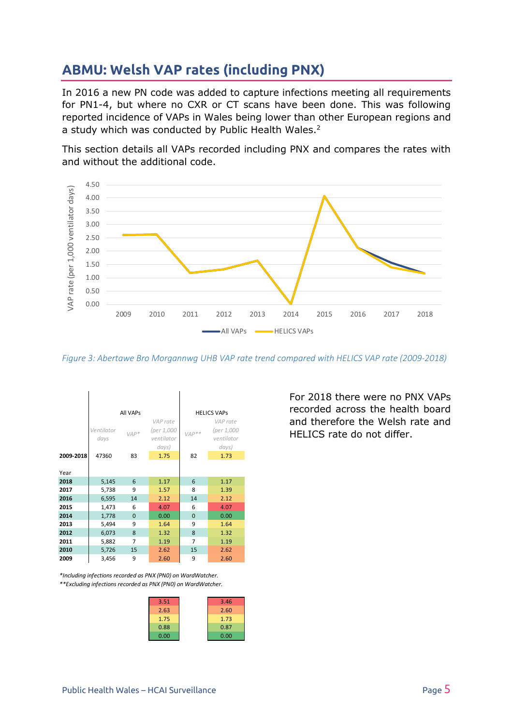# <span id="page-5-0"></span>**ABMU: Welsh VAP rates (including PNX)**

In 2016 a new PN code was added to capture infections meeting all requirements for PN1-4, but where no CXR or CT scans have been done. This was following reported incidence of VAPs in Wales being lower than other European regions and a study which was conducted by Public Health Wales.<sup>2</sup>

This section details all VAPs recorded including PNX and compares the rates with and without the additional code.



*Figure 3: Abertawe Bro Morgannwg UHB VAP rate trend compared with HELICS VAP rate (2009-2018)*



*\*\*Excluding infections recorded as PNX (PN0) on WardWatcher. \*Including infections recorded as PNX (PN0) on WardWatcher.*

| 3.51 | 3.46 |
|------|------|
| 2.63 | 2.60 |
| 1.75 | 1.73 |
| 0.88 | 0.87 |
| 0.00 | 0.00 |
|      |      |

For 2018 there were no PNX VAPs recorded across the health board and therefore the Welsh rate and HELICS rate do not differ.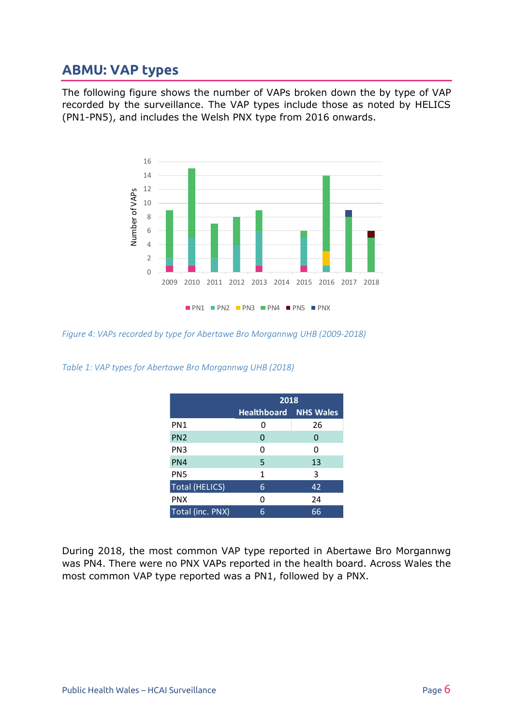#### <span id="page-6-0"></span>**ABMU: VAP types**

The following figure shows the number of VAPs broken down the by type of VAP recorded by the surveillance. The VAP types include those as noted by HELICS (PN1-PN5), and includes the Welsh PNX type from 2016 onwards.



*Figure 4: VAPs recorded by type for Abertawe Bro Morgannwg UHB (2009-2018)*

*Table 1: VAP types for Abertawe Bro Morgannwg UHB (2018)*

|                       | 2018                         |    |  |
|-----------------------|------------------------------|----|--|
|                       | <b>Healthboard NHS Wales</b> |    |  |
| PN <sub>1</sub>       | ი                            | 26 |  |
| PN <sub>2</sub>       | 0                            | 0  |  |
| PN <sub>3</sub>       | 0                            | O  |  |
| PN4                   | 5                            | 13 |  |
| PN <sub>5</sub>       | 1                            | 3  |  |
| <b>Total (HELICS)</b> | 6                            | 42 |  |
| <b>PNX</b>            | 0                            | 24 |  |
| Total (inc. PNX)      | 6                            | 66 |  |

During 2018, the most common VAP type reported in Abertawe Bro Morgannwg was PN4. There were no PNX VAPs reported in the health board. Across Wales the most common VAP type reported was a PN1, followed by a PNX.